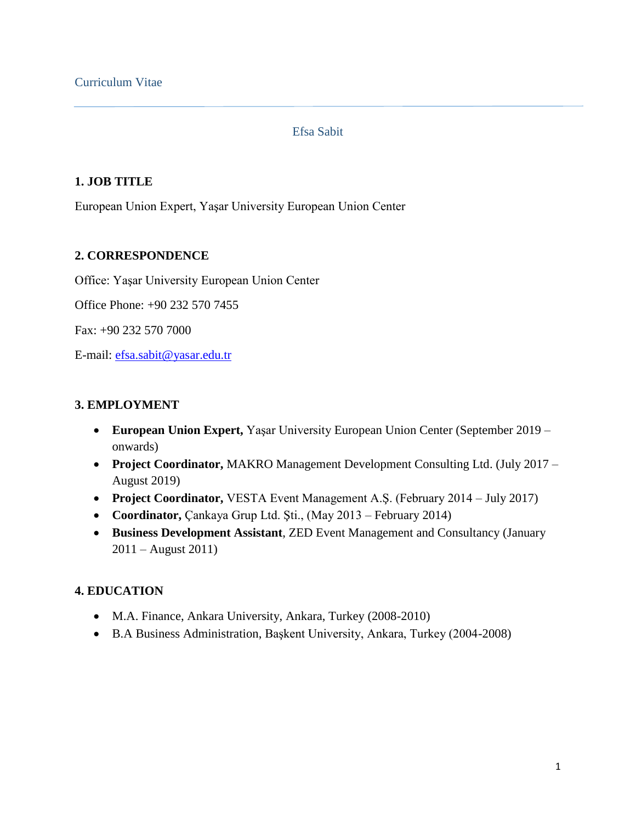#### Efsa Sabit

#### **1. JOB TITLE**

European Union Expert, Yaşar University European Union Center

### **2. CORRESPONDENCE**

Office: Yaşar University European Union Center

Office Phone: +90 232 570 7455

Fax: +90 232 570 7000

E-mail: [efsa.sabit@yasar.edu.tr](mailto:efsa.sabit@yasar.edu.tr)

### **3. EMPLOYMENT**

- **European Union Expert,** Yaşar University European Union Center (September 2019 onwards)
- **Project Coordinator,** MAKRO Management Development Consulting Ltd. (July 2017 August 2019)
- **Project Coordinator,** VESTA Event Management A.Ş. (February 2014 July 2017)
- **Coordinator,** Çankaya Grup Ltd. Şti., (May 2013 February 2014)
- **Business Development Assistant**, ZED Event Management and Consultancy (January 2011 – August 2011)

# **4. EDUCATION**

- M.A. Finance, Ankara University, Ankara, Turkey (2008-2010)
- B.A Business Administration, Başkent University, Ankara, Turkey (2004-2008)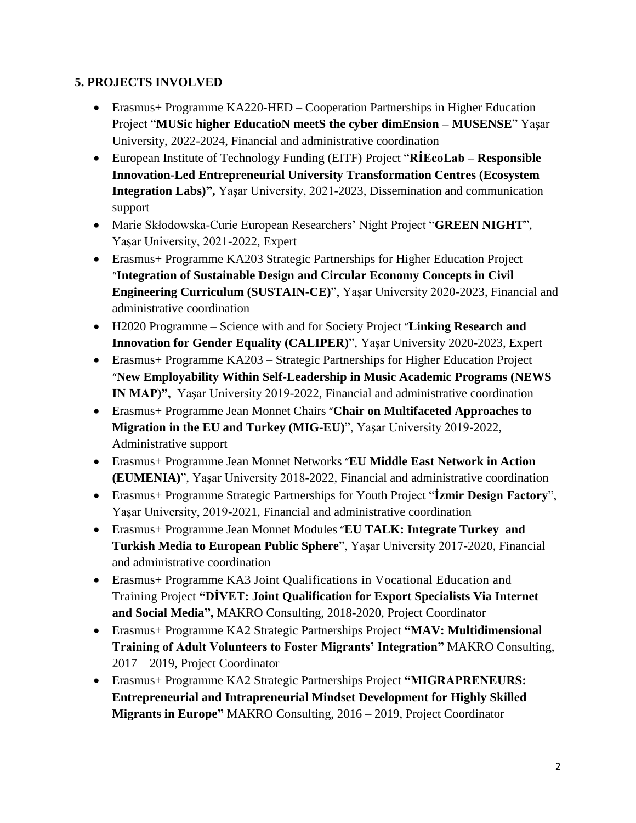# **5. PROJECTS INVOLVED**

- Erasmus+ Programme KA220-HED Cooperation Partnerships in Higher Education Project "**MUSic higher EducatioN meetS the cyber dimEnsion – MUSENSE**" Yaşar University, 2022-2024, Financial and administrative coordination
- European Institute of Technology Funding (EITF) Project "**RİEcoLab – Responsible Innovation-Led Entrepreneurial University Transformation Centres (Ecosystem Integration Labs)",** Yaşar University, 2021-2023, Dissemination and communication support
- Marie Skłodowska-Curie European Researchers' Night Project "**GREEN NIGHT**", Yaşar University, 2021-2022, Expert
- Erasmus+ Programme KA203 Strategic Partnerships for Higher Education Project "**Integration of Sustainable Design and Circular Economy Concepts in Civil Engineering Curriculum (SUSTAIN-CE)**", Yaşar University 2020-2023, Financial and administrative coordination
- H2020 Programme Science with and for Society Project "**Linking Research and Innovation for Gender Equality (CALIPER)**", Yaşar University 2020-2023, Expert
- Erasmus+ Programme KA203 Strategic Partnerships for Higher Education Project "**New Employability Within Self-Leadership in Music Academic Programs (NEWS IN MAP)",** Yaşar University 2019-2022, Financial and administrative coordination
- Erasmus+ Programme Jean Monnet Chairs "**Chair on Multifaceted Approaches to Migration in the EU and Turkey (MIG-EU)**", Yaşar University 2019-2022, Administrative support
- Erasmus+ Programme Jean Monnet Networks "**EU Middle East Network in Action (EUMENIA)**", Yaşar University 2018-2022, Financial and administrative coordination
- Erasmus+ Programme Strategic Partnerships for Youth Project "**İzmir Design Factory**", Yaşar University, 2019-2021, Financial and administrative coordination
- Erasmus+ Programme Jean Monnet Modules "**EU TALK: Integrate Turkey and Turkish Media to European Public Sphere**", Yaşar University 2017-2020, Financial and administrative coordination
- Erasmus+ Programme KA3 Joint Qualifications in Vocational Education and Training Project **"DİVET: Joint Qualification for Export Specialists Via Internet and Social Media",** MAKRO Consulting, 2018-2020, Project Coordinator
- Erasmus+ Programme KA2 Strategic Partnerships Project **"MAV: Multidimensional Training of Adult Volunteers to Foster Migrants' Integration"** MAKRO Consulting, 2017 – 2019, Project Coordinator
- Erasmus+ Programme KA2 Strategic Partnerships Project **"MIGRAPRENEURS: Entrepreneurial and Intrapreneurial Mindset Development for Highly Skilled Migrants in Europe"** MAKRO Consulting, 2016 – 2019, Project Coordinator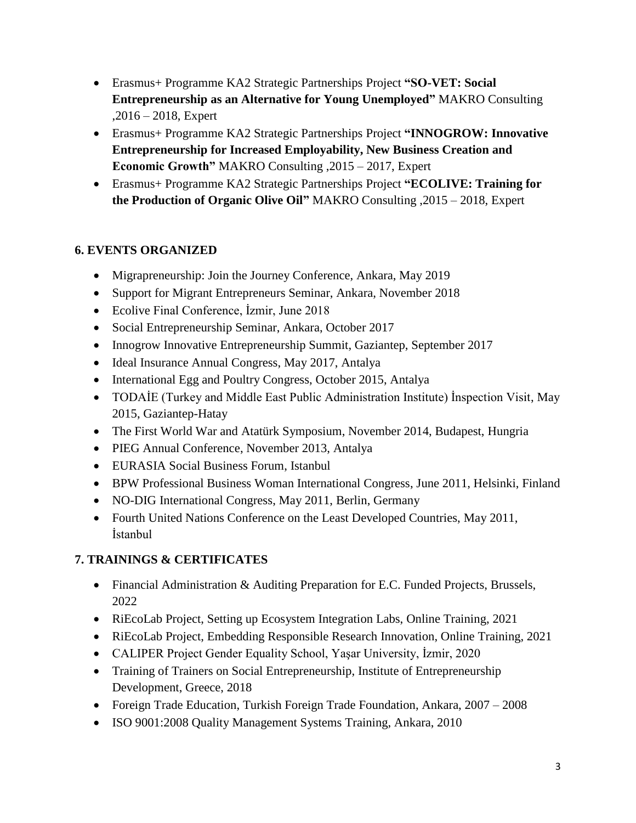- Erasmus+ Programme KA2 Strategic Partnerships Project **"SO-VET: Social Entrepreneurship as an Alternative for Young Unemployed"** MAKRO Consulting ,2016 – 2018, Expert
- Erasmus+ Programme KA2 Strategic Partnerships Project **"INNOGROW: Innovative Entrepreneurship for Increased Employability, New Business Creation and Economic Growth"** MAKRO Consulting ,2015 – 2017, Expert
- Erasmus+ Programme KA2 Strategic Partnerships Project **"ECOLIVE: Training for the Production of Organic Olive Oil"** MAKRO Consulting ,2015 – 2018, Expert

# **6. EVENTS ORGANIZED**

- Migrapreneurship: Join the Journey Conference, Ankara, May 2019
- Support for Migrant Entrepreneurs Seminar, Ankara, November 2018
- Ecolive Final Conference, İzmir, June 2018
- Social Entrepreneurship Seminar, Ankara, October 2017
- Innogrow Innovative Entrepreneurship Summit, Gaziantep, September 2017
- Ideal Insurance Annual Congress, May 2017, Antalya
- International Egg and Poultry Congress, October 2015, Antalya
- TODAİE (Turkey and Middle East Public Administration Institute) İnspection Visit, May 2015, Gaziantep-Hatay
- The First World War and Atatürk Symposium, November 2014, Budapest, Hungria
- PIEG Annual Conference, November 2013, Antalya
- EURASIA Social Business Forum, Istanbul
- BPW Professional Business Woman International Congress, June 2011, Helsinki, Finland
- NO-DIG International Congress, May 2011, Berlin, Germany
- Fourth United Nations Conference on the Least Developed Countries, May 2011, İstanbul

# **7. TRAININGS & CERTIFICATES**

- Financial Administration & Auditing Preparation for E.C. Funded Projects, Brussels, 2022
- RiEcoLab Project, Setting up Ecosystem Integration Labs, Online Training, 2021
- RiEcoLab Project, Embedding Responsible Research Innovation, Online Training, 2021
- CALIPER Project Gender Equality School, Yaşar University, İzmir, 2020
- Training of Trainers on Social Entrepreneurship, Institute of Entrepreneurship Development, Greece, 2018
- Foreign Trade Education, Turkish Foreign Trade Foundation, Ankara, 2007 2008
- ISO 9001:2008 Quality Management Systems Training, Ankara, 2010